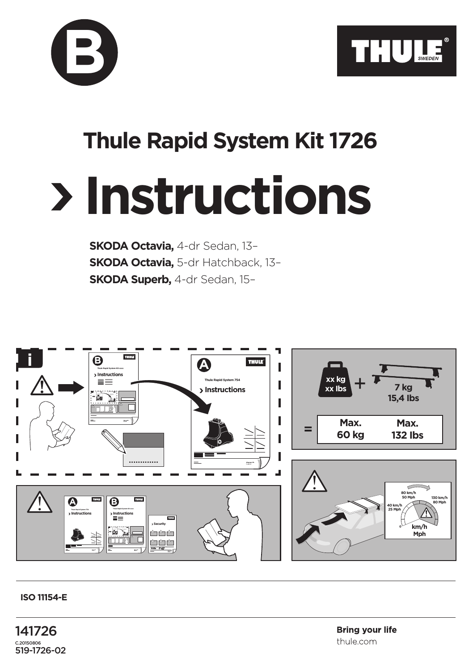



## **Thule Rapid System Kit 1726**

## **Instructions**

**SKODA Octavia,** 4-dr Sedan, 13– **SKODA Octavia,** 5-dr Hatchback, 13– **SKODA Superb,** 4-dr Sedan, 15–



## **ISO 11154-E**

141726 C.20150806 519-1726-02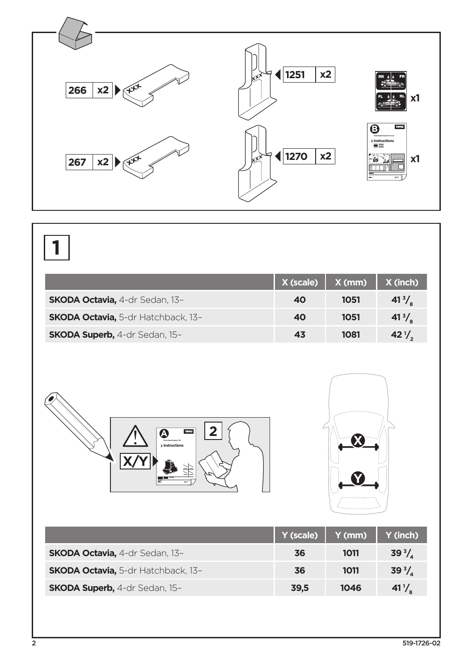

## **1**

|                                           | X (scale) | $X$ (mm) | X (inch)          |
|-------------------------------------------|-----------|----------|-------------------|
| <b>SKODA Octavia, 4-dr Sedan, 13-</b>     | 40        | 1051     | $41^{3}/_{\circ}$ |
| <b>SKODA Octavia, 5-dr Hatchback, 13-</b> | 40        | 1051     | $41^{3}/_{\circ}$ |
| <b>SKODA Superb, 4-dr Sedan, 15-</b>      | 43        | 1081     | $42\frac{1}{6}$   |





|                                           | Y (scale) | Y (mm) | Y (inch)        |
|-------------------------------------------|-----------|--------|-----------------|
| <b>SKODA Octavia, 4-dr Sedan, 13-</b>     | 36        | 1011   | $39^{3}/.$      |
| <b>SKODA Octavia, 5-dr Hatchback, 13-</b> | 36        | 1011   | $39^{3}/.$      |
| <b>SKODA Superb, 4-dr Sedan, 15-</b>      | 39.5      | 1046   | $41\frac{1}{6}$ |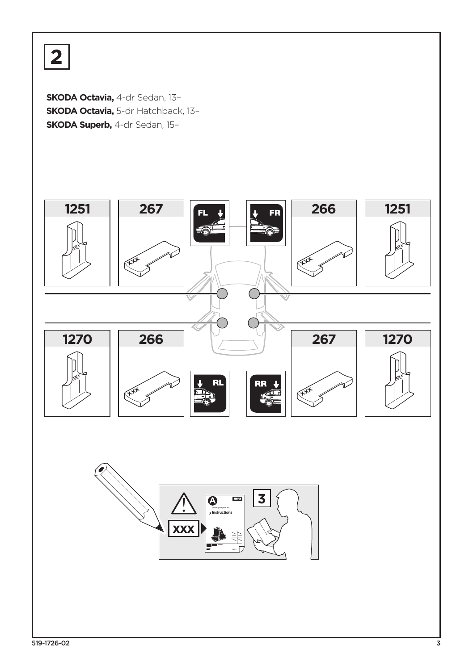